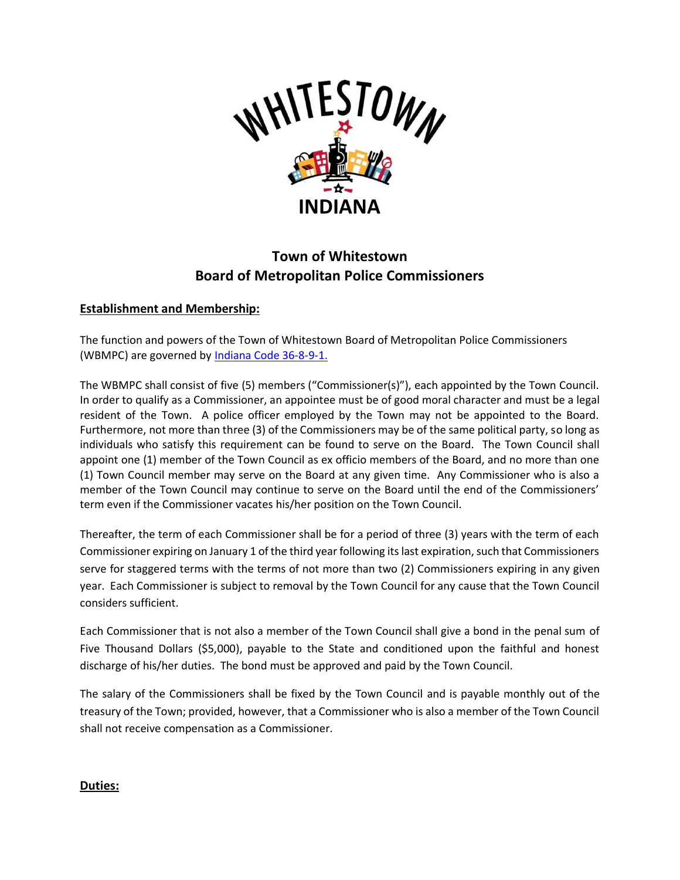

## **Town of Whitestown Board of Metropolitan Police Commissioners**

## **Establishment and Membership:**

The function and powers of the Town of Whitestown Board of Metropolitan Police Commissioners (WBMPC) are governed by [Indiana Code 36-8-9-1.](http://184.175.130.101/legislative/laws/2021/ic/titles/036#36-8-9)

The WBMPC shall consist of five (5) members ("Commissioner(s)"), each appointed by the Town Council. In order to qualify as a Commissioner, an appointee must be of good moral character and must be a legal resident of the Town. A police officer employed by the Town may not be appointed to the Board. Furthermore, not more than three (3) of the Commissioners may be of the same political party, so long as individuals who satisfy this requirement can be found to serve on the Board. The Town Council shall appoint one (1) member of the Town Council as ex officio members of the Board, and no more than one (1) Town Council member may serve on the Board at any given time. Any Commissioner who is also a member of the Town Council may continue to serve on the Board until the end of the Commissioners' term even if the Commissioner vacates his/her position on the Town Council.

Thereafter, the term of each Commissioner shall be for a period of three (3) years with the term of each Commissioner expiring on January 1 of the third year following its last expiration, such that Commissioners serve for staggered terms with the terms of not more than two (2) Commissioners expiring in any given year. Each Commissioner is subject to removal by the Town Council for any cause that the Town Council considers sufficient.

Each Commissioner that is not also a member of the Town Council shall give a bond in the penal sum of Five Thousand Dollars (\$5,000), payable to the State and conditioned upon the faithful and honest discharge of his/her duties. The bond must be approved and paid by the Town Council.

The salary of the Commissioners shall be fixed by the Town Council and is payable monthly out of the treasury of the Town; provided, however, that a Commissioner who is also a member of the Town Council shall not receive compensation as a Commissioner.

## **Duties:**